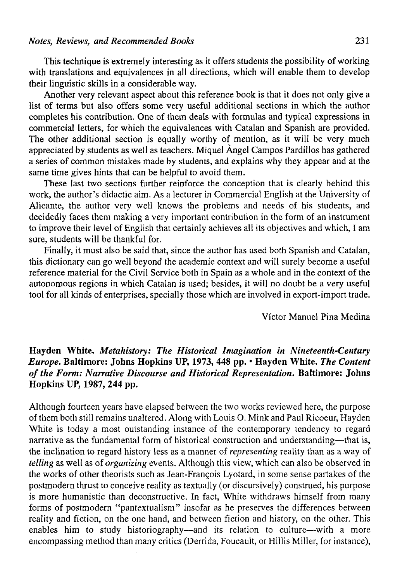This technique is extremely interesting as it offers students the possibility of working with translations and equivalences in all directions, which will enable them to develop their linguistic skills in a considerable way.

Another very relevant aspect about this reference book is that it does not only give a list of terms but also offers some very useful additional sections in which the author completes his contribution. One of them deals with formulas and typical expressions in commercial letters, for which the equivalences with Catalán and Spanish are provided. The other additional section is equally worthy of mention, as it will be very much appreciated by students as well as teachers. Miquel Ángel Campos Pardillos has gathered a series of common mistakes made by students, and explains why they appear and at the same time gives hints that can be helpful to avoid them.

These last two sections further reinforce the conception that is clearly behind this work, the author's didactic aim. As a lecturer in Commercial English at the University of Alicante, the author very well knows the problems and needs of his students, and decidedly faces them making a very important contribution in the form of an instrument to improve their level of English that certainly achieves all its objectives and which, I am sure, students will be thankful for.

Finally, it must also be said that, since the author has used both Spanish and Catalán, this dictionary can go well beyond the academíc context and will surely become a useful reference material for the Civil Service both in Spain as a whole and in the context of the autonomous regions in which Catalán is used; besides, it will no doubt be a very useful tool for all kinds of enterprises, specially those which are involved in export-import trade.

Víctor Manuel Pina Medina

## **Hayden White.** *Metahistory: The Historical Imagination in Nineteenth-Century Europe.* **Baltimore: Johns Hopkins UP, 1973, 448 pp.** • Hayden **White.** *The Contení of the Form: Narrative Discourse and Historical Representation.* Baltimore: **Johns Hopkins UP, 1987, 244 pp.**

Although fourteen years have elapsed between the two works reviewed here, the purpose of them both still remains unaltered. Along with Louis O. Mink and Paul Ricoeur, Hayden White is today a most outstanding instance of the contemporary tendency to regard narrative as the fundamental form of historical construction and understanding—that is, the inclination to regard history less as a manner of *representing* reality than as a way of *telling* as well as of *organizing* events. Although this view, which can also be observed in the works of other theorists such as Jean-Francois Lyotard, in some sense partakes of the postmodern thrust to conceive reality as textually (or discursively) construed, his purpose is more humanistic than deconstructive. In fact, White withdraws himself from many forms of postmodern "pantextualism" insofar as he preserves the differences between reality and fiction, on the one hand, and between fiction and history, on the other. This enables him to study historiography—and its relation to culture—with a more encompassing method than many critics (Derrida, Foucault, or Hillis Miller, for instance),